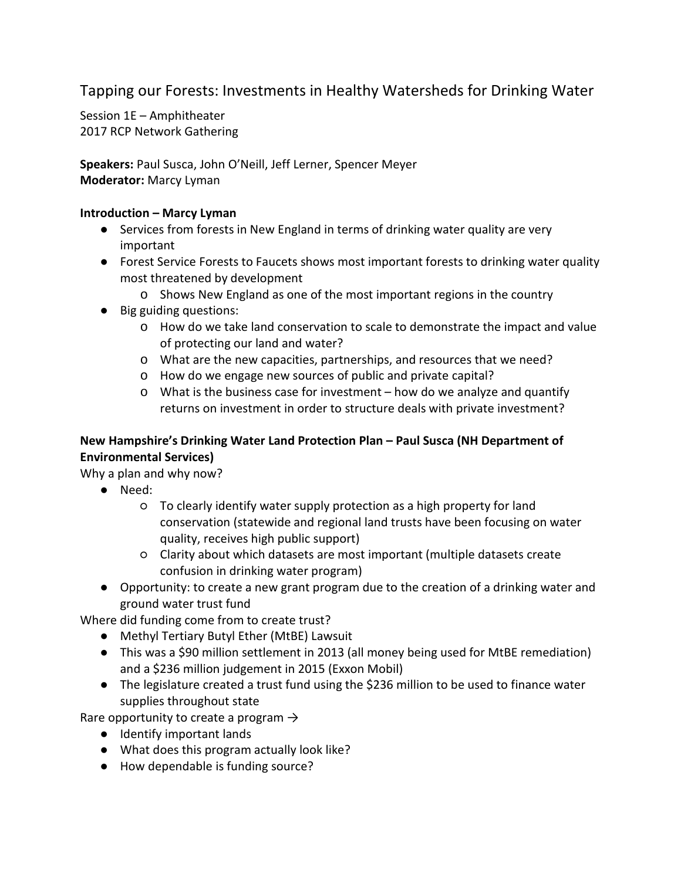Tapping our Forests: Investments in Healthy Watersheds for Drinking Water

Session 1E – Amphitheater 2017 RCP Network Gathering

**Speakers:** Paul Susca, John O'Neill, Jeff Lerner, Spencer Meyer **Moderator:** Marcy Lyman

### **Introduction – Marcy Lyman**

- Services from forests in New England in terms of drinking water quality are very important
- Forest Service Forests to Faucets shows most important forests to drinking water quality most threatened by development
	- o Shows New England as one of the most important regions in the country
- Big guiding questions:
	- o How do we take land conservation to scale to demonstrate the impact and value of protecting our land and water?
	- o What are the new capacities, partnerships, and resources that we need?
	- o How do we engage new sources of public and private capital?
	- o What is the business case for investment how do we analyze and quantify returns on investment in order to structure deals with private investment?

## **New Hampshire's Drinking Water Land Protection Plan – Paul Susca (NH Department of Environmental Services)**

Why a plan and why now?

- Need:
	- To clearly identify water supply protection as a high property for land conservation (statewide and regional land trusts have been focusing on water quality, receives high public support)
	- Clarity about which datasets are most important (multiple datasets create confusion in drinking water program)
- Opportunity: to create a new grant program due to the creation of a drinking water and ground water trust fund

Where did funding come from to create trust?

- Methyl Tertiary Butyl Ether (MtBE) Lawsuit
- This was a \$90 million settlement in 2013 (all money being used for MtBE remediation) and a \$236 million judgement in 2015 (Exxon Mobil)
- The legislature created a trust fund using the \$236 million to be used to finance water supplies throughout state

Rare opportunity to create a program  $\rightarrow$ 

- Identify important lands
- What does this program actually look like?
- How dependable is funding source?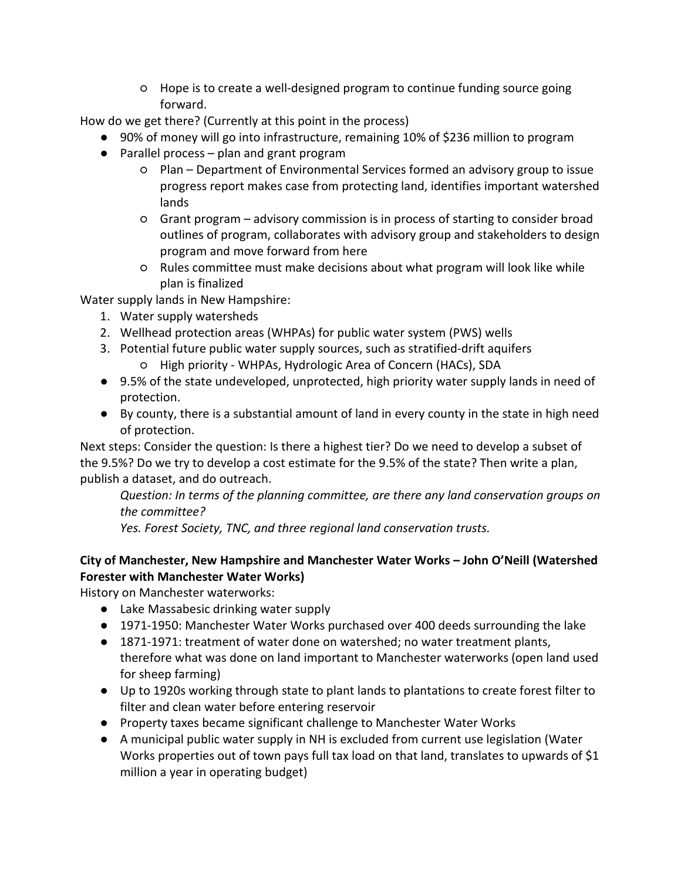○ Hope is to create a well-designed program to continue funding source going forward.

How do we get there? (Currently at this point in the process)

- 90% of money will go into infrastructure, remaining 10% of \$236 million to program
- Parallel process plan and grant program
	- Plan Department of Environmental Services formed an advisory group to issue progress report makes case from protecting land, identifies important watershed lands
	- Grant program advisory commission is in process of starting to consider broad outlines of program, collaborates with advisory group and stakeholders to design program and move forward from here
	- Rules committee must make decisions about what program will look like while plan is finalized

Water supply lands in New Hampshire:

- 1. Water supply watersheds
- 2. Wellhead protection areas (WHPAs) for public water system (PWS) wells
- 3. Potential future public water supply sources, such as stratified-drift aquifers ○ High priority - WHPAs, Hydrologic Area of Concern (HACs), SDA
- 9.5% of the state undeveloped, unprotected, high priority water supply lands in need of protection.
- By county, there is a substantial amount of land in every county in the state in high need of protection.

Next steps: Consider the question: Is there a highest tier? Do we need to develop a subset of the 9.5%? Do we try to develop a cost estimate for the 9.5% of the state? Then write a plan, publish a dataset, and do outreach.

*Question: In terms of the planning committee, are there any land conservation groups on the committee?*

*Yes. Forest Society, TNC, and three regional land conservation trusts.*

### **City of Manchester, New Hampshire and Manchester Water Works – John O'Neill (Watershed Forester with Manchester Water Works)**

History on Manchester waterworks:

- Lake Massabesic drinking water supply
- 1971-1950: Manchester Water Works purchased over 400 deeds surrounding the lake
- 1871-1971: treatment of water done on watershed; no water treatment plants, therefore what was done on land important to Manchester waterworks (open land used for sheep farming)
- Up to 1920s working through state to plant lands to plantations to create forest filter to filter and clean water before entering reservoir
- Property taxes became significant challenge to Manchester Water Works
- A municipal public water supply in NH is excluded from current use legislation (Water Works properties out of town pays full tax load on that land, translates to upwards of \$1 million a year in operating budget)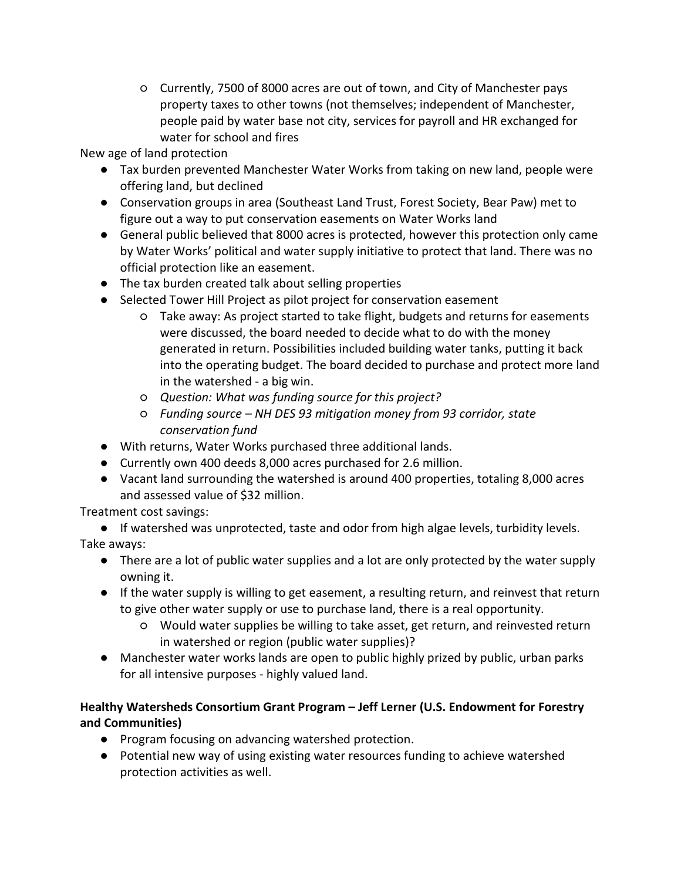○ Currently, 7500 of 8000 acres are out of town, and City of Manchester pays property taxes to other towns (not themselves; independent of Manchester, people paid by water base not city, services for payroll and HR exchanged for water for school and fires

New age of land protection

- Tax burden prevented Manchester Water Works from taking on new land, people were offering land, but declined
- Conservation groups in area (Southeast Land Trust, Forest Society, Bear Paw) met to figure out a way to put conservation easements on Water Works land
- General public believed that 8000 acres is protected, however this protection only came by Water Works' political and water supply initiative to protect that land. There was no official protection like an easement.
- The tax burden created talk about selling properties
- Selected Tower Hill Project as pilot project for conservation easement
	- Take away: As project started to take flight, budgets and returns for easements were discussed, the board needed to decide what to do with the money generated in return. Possibilities included building water tanks, putting it back into the operating budget. The board decided to purchase and protect more land in the watershed - a big win.
	- *Question: What was funding source for this project?*
	- *Funding source – NH DES 93 mitigation money from 93 corridor, state conservation fund*
- With returns, Water Works purchased three additional lands.
- Currently own 400 deeds 8,000 acres purchased for 2.6 million.
- Vacant land surrounding the watershed is around 400 properties, totaling 8,000 acres and assessed value of \$32 million.

## Treatment cost savings:

- If watershed was unprotected, taste and odor from high algae levels, turbidity levels. Take aways:
	- There are a lot of public water supplies and a lot are only protected by the water supply owning it.
	- If the water supply is willing to get easement, a resulting return, and reinvest that return to give other water supply or use to purchase land, there is a real opportunity.
		- Would water supplies be willing to take asset, get return, and reinvested return in watershed or region (public water supplies)?
	- Manchester water works lands are open to public highly prized by public, urban parks for all intensive purposes - highly valued land.

# **Healthy Watersheds Consortium Grant Program – Jeff Lerner (U.S. Endowment for Forestry and Communities)**

- Program focusing on advancing watershed protection.
- Potential new way of using existing water resources funding to achieve watershed protection activities as well.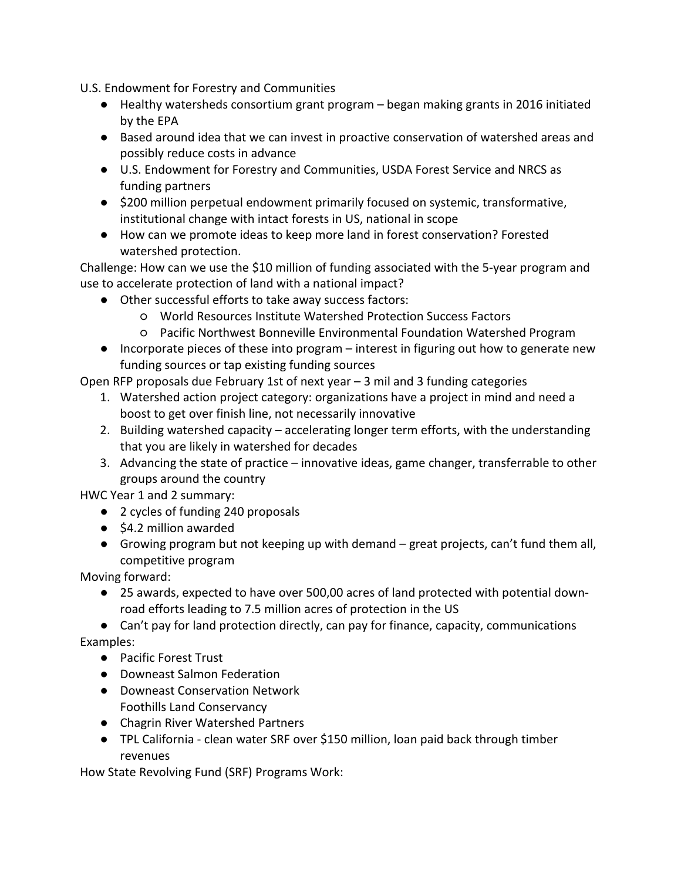U.S. Endowment for Forestry and Communities

- Healthy watersheds consortium grant program began making grants in 2016 initiated by the EPA
- Based around idea that we can invest in proactive conservation of watershed areas and possibly reduce costs in advance
- U.S. Endowment for Forestry and Communities, USDA Forest Service and NRCS as funding partners
- \$200 million perpetual endowment primarily focused on systemic, transformative, institutional change with intact forests in US, national in scope
- How can we promote ideas to keep more land in forest conservation? Forested watershed protection.

Challenge: How can we use the \$10 million of funding associated with the 5-year program and use to accelerate protection of land with a national impact?

- Other successful efforts to take away success factors:
	- World Resources Institute Watershed Protection Success Factors
	- Pacific Northwest Bonneville Environmental Foundation Watershed Program
- Incorporate pieces of these into program interest in figuring out how to generate new funding sources or tap existing funding sources

Open RFP proposals due February 1st of next year – 3 mil and 3 funding categories

- 1. Watershed action project category: organizations have a project in mind and need a boost to get over finish line, not necessarily innovative
- 2. Building watershed capacity accelerating longer term efforts, with the understanding that you are likely in watershed for decades
- 3. Advancing the state of practice innovative ideas, game changer, transferrable to other groups around the country

HWC Year 1 and 2 summary:

- 2 cycles of funding 240 proposals
- \$4.2 million awarded
- Growing program but not keeping up with demand great projects, can't fund them all, competitive program

Moving forward:

● 25 awards, expected to have over 500,00 acres of land protected with potential downroad efforts leading to 7.5 million acres of protection in the US

● Can't pay for land protection directly, can pay for finance, capacity, communications Examples:

- Pacific Forest Trust
- Downeast Salmon Federation
- Downeast Conservation Network Foothills Land Conservancy
- Chagrin River Watershed Partners
- TPL California clean water SRF over \$150 million, loan paid back through timber revenues

How State Revolving Fund (SRF) Programs Work: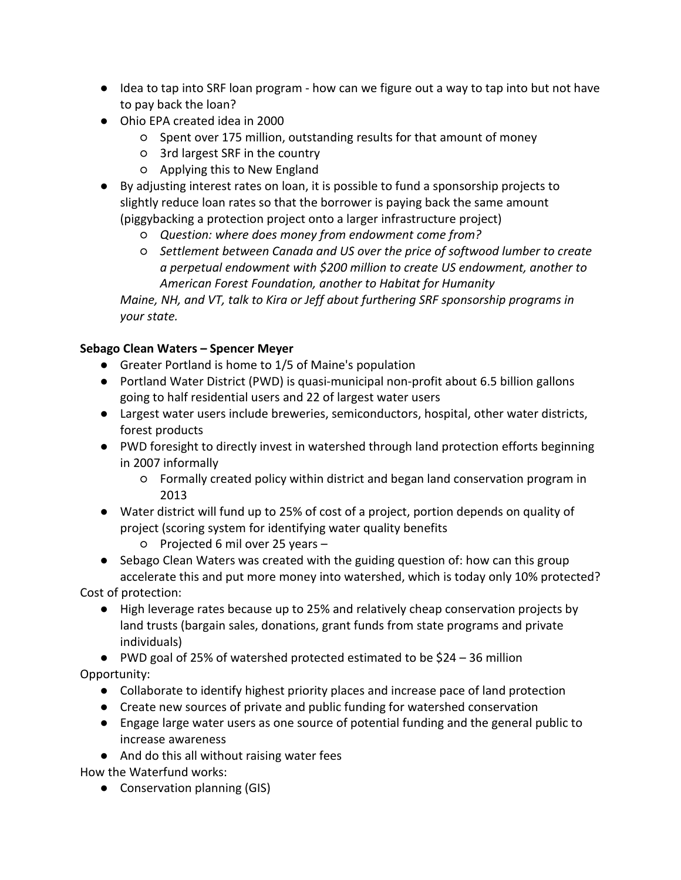- Idea to tap into SRF loan program how can we figure out a way to tap into but not have to pay back the loan?
- Ohio EPA created idea in 2000
	- Spent over 175 million, outstanding results for that amount of money
	- 3rd largest SRF in the country
	- Applying this to New England
- By adjusting interest rates on loan, it is possible to fund a sponsorship projects to slightly reduce loan rates so that the borrower is paying back the same amount (piggybacking a protection project onto a larger infrastructure project)
	- *Question: where does money from endowment come from?*
	- *Settlement between Canada and US over the price of softwood lumber to create a perpetual endowment with \$200 million to create US endowment, another to American Forest Foundation, another to Habitat for Humanity*

*Maine, NH, and VT, talk to Kira or Jeff about furthering SRF sponsorship programs in your state.*

### **Sebago Clean Waters – Spencer Meyer**

- Greater Portland is home to 1/5 of Maine's population
- Portland Water District (PWD) is quasi-municipal non-profit about 6.5 billion gallons going to half residential users and 22 of largest water users
- Largest water users include breweries, semiconductors, hospital, other water districts, forest products
- PWD foresight to directly invest in watershed through land protection efforts beginning in 2007 informally
	- Formally created policy within district and began land conservation program in 2013
- Water district will fund up to 25% of cost of a project, portion depends on quality of project (scoring system for identifying water quality benefits
	- Projected 6 mil over 25 years –
- Sebago Clean Waters was created with the guiding question of: how can this group accelerate this and put more money into watershed, which is today only 10% protected?

Cost of protection:

- High leverage rates because up to 25% and relatively cheap conservation projects by land trusts (bargain sales, donations, grant funds from state programs and private individuals)
- PWD goal of 25% of watershed protected estimated to be \$24 36 million Opportunity:
	- Collaborate to identify highest priority places and increase pace of land protection
	- Create new sources of private and public funding for watershed conservation
	- Engage large water users as one source of potential funding and the general public to increase awareness
	- And do this all without raising water fees

How the Waterfund works:

● Conservation planning (GIS)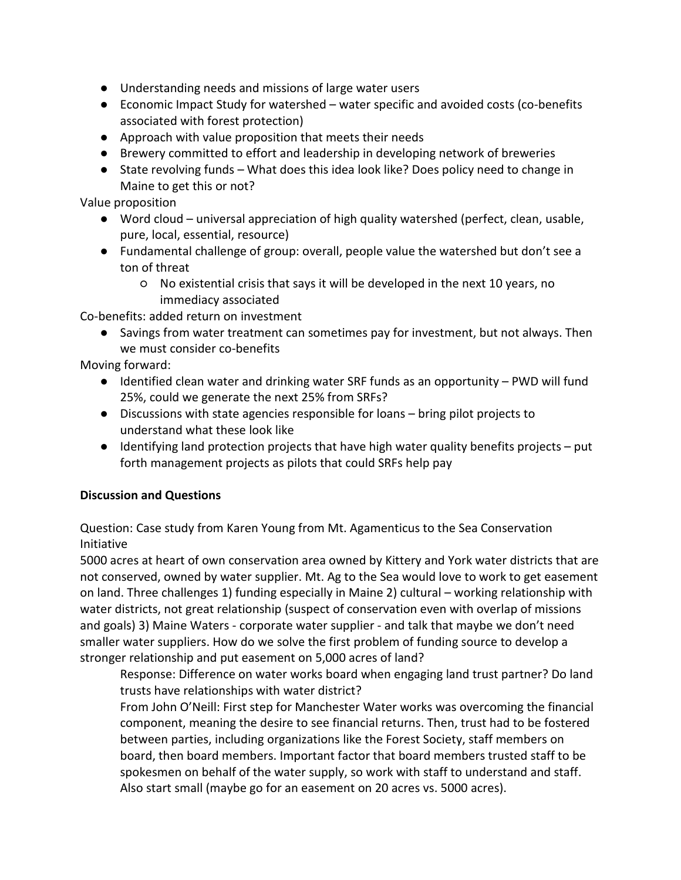- Understanding needs and missions of large water users
- Economic Impact Study for watershed water specific and avoided costs (co-benefits associated with forest protection)
- Approach with value proposition that meets their needs
- Brewery committed to effort and leadership in developing network of breweries
- State revolving funds What does this idea look like? Does policy need to change in Maine to get this or not?

Value proposition

- Word cloud universal appreciation of high quality watershed (perfect, clean, usable, pure, local, essential, resource)
- Fundamental challenge of group: overall, people value the watershed but don't see a ton of threat
	- No existential crisis that says it will be developed in the next 10 years, no immediacy associated

Co-benefits: added return on investment

● Savings from water treatment can sometimes pay for investment, but not always. Then we must consider co-benefits

Moving forward:

- Identified clean water and drinking water SRF funds as an opportunity PWD will fund 25%, could we generate the next 25% from SRFs?
- Discussions with state agencies responsible for loans bring pilot projects to understand what these look like
- $\bullet$  Identifying land protection projects that have high water quality benefits projects put forth management projects as pilots that could SRFs help pay

### **Discussion and Questions**

Question: Case study from Karen Young from Mt. Agamenticus to the Sea Conservation Initiative

5000 acres at heart of own conservation area owned by Kittery and York water districts that are not conserved, owned by water supplier. Mt. Ag to the Sea would love to work to get easement on land. Three challenges 1) funding especially in Maine 2) cultural – working relationship with water districts, not great relationship (suspect of conservation even with overlap of missions and goals) 3) Maine Waters - corporate water supplier - and talk that maybe we don't need smaller water suppliers. How do we solve the first problem of funding source to develop a stronger relationship and put easement on 5,000 acres of land?

Response: Difference on water works board when engaging land trust partner? Do land trusts have relationships with water district?

From John O'Neill: First step for Manchester Water works was overcoming the financial component, meaning the desire to see financial returns. Then, trust had to be fostered between parties, including organizations like the Forest Society, staff members on board, then board members. Important factor that board members trusted staff to be spokesmen on behalf of the water supply, so work with staff to understand and staff. Also start small (maybe go for an easement on 20 acres vs. 5000 acres).